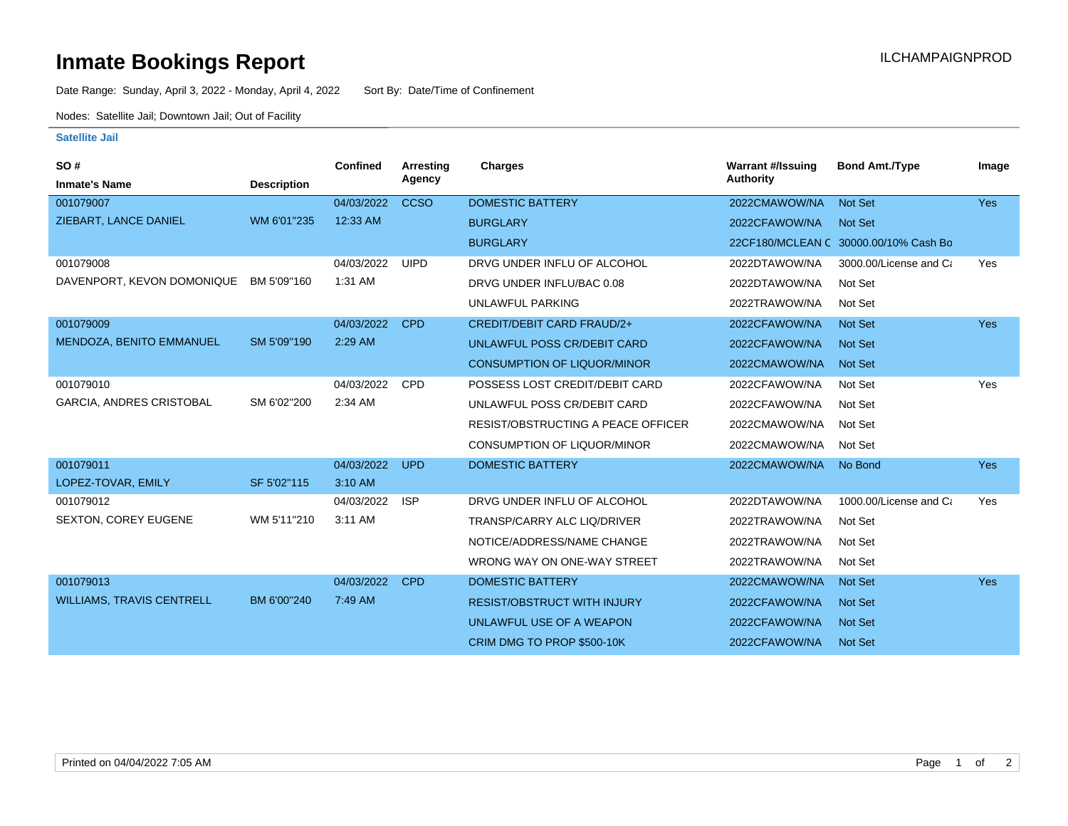## **Inmate Bookings Report International Contract Contract Contract Contract Contract Contract Contract Contract Contract Contract Contract Contract Contract Contract Contract Contract Contract Contract Contract Contract Co**

Date Range: Sunday, April 3, 2022 - Monday, April 4, 2022 Sort By: Date/Time of Confinement

Nodes: Satellite Jail; Downtown Jail; Out of Facility

## **Satellite Jail**

| SO#                              |                    | Confined   | Arresting   | <b>Charges</b>                            | <b>Warrant #/Issuing</b> | <b>Bond Amt./Type</b>                 | Image      |
|----------------------------------|--------------------|------------|-------------|-------------------------------------------|--------------------------|---------------------------------------|------------|
| <b>Inmate's Name</b>             | <b>Description</b> |            | Agency      |                                           | <b>Authority</b>         |                                       |            |
| 001079007                        |                    | 04/03/2022 | <b>CCSO</b> | <b>DOMESTIC BATTERY</b>                   | 2022CMAWOW/NA            | Not Set                               | <b>Yes</b> |
| ZIEBART, LANCE DANIEL            | WM 6'01"235        | 12:33 AM   |             | <b>BURGLARY</b>                           | 2022CFAWOW/NA            | Not Set                               |            |
|                                  |                    |            |             | <b>BURGLARY</b>                           |                          | 22CF180/MCLEAN C 30000.00/10% Cash Bo |            |
| 001079008                        |                    | 04/03/2022 | <b>UIPD</b> | DRVG UNDER INFLU OF ALCOHOL               | 2022DTAWOW/NA            | 3000.00/License and Ca                | Yes        |
| DAVENPORT, KEVON DOMONIQUE       | BM 5'09"160        | 1:31 AM    |             | DRVG UNDER INFLU/BAC 0.08                 | 2022DTAWOW/NA            | Not Set                               |            |
|                                  |                    |            |             | <b>UNLAWFUL PARKING</b>                   | 2022TRAWOW/NA            | Not Set                               |            |
| 001079009                        |                    | 04/03/2022 | <b>CPD</b>  | CREDIT/DEBIT CARD FRAUD/2+                | 2022CFAWOW/NA            | Not Set                               | <b>Yes</b> |
| MENDOZA, BENITO EMMANUEL         | SM 5'09"190        | 2:29 AM    |             | UNLAWFUL POSS CR/DEBIT CARD               | 2022CFAWOW/NA            | <b>Not Set</b>                        |            |
|                                  |                    |            |             | <b>CONSUMPTION OF LIQUOR/MINOR</b>        | 2022CMAWOW/NA            | <b>Not Set</b>                        |            |
| 001079010                        |                    | 04/03/2022 | CPD         | POSSESS LOST CREDIT/DEBIT CARD            | 2022CFAWOW/NA            | Not Set                               | Yes        |
| <b>GARCIA, ANDRES CRISTOBAL</b>  | SM 6'02"200        | 2:34 AM    |             | UNLAWFUL POSS CR/DEBIT CARD               | 2022CFAWOW/NA            | Not Set                               |            |
|                                  |                    |            |             | <b>RESIST/OBSTRUCTING A PEACE OFFICER</b> | 2022CMAWOW/NA            | Not Set                               |            |
|                                  |                    |            |             | <b>CONSUMPTION OF LIQUOR/MINOR</b>        | 2022CMAWOW/NA            | Not Set                               |            |
| 001079011                        |                    | 04/03/2022 | <b>UPD</b>  | <b>DOMESTIC BATTERY</b>                   | 2022CMAWOW/NA            | No Bond                               | <b>Yes</b> |
| LOPEZ-TOVAR, EMILY               | SF 5'02"115        | 3:10 AM    |             |                                           |                          |                                       |            |
| 001079012                        |                    | 04/03/2022 | <b>ISP</b>  | DRVG UNDER INFLU OF ALCOHOL               | 2022DTAWOW/NA            | 1000.00/License and Ca                | Yes        |
| <b>SEXTON, COREY EUGENE</b>      | WM 5'11"210        | 3:11 AM    |             | TRANSP/CARRY ALC LIQ/DRIVER               | 2022TRAWOW/NA            | Not Set                               |            |
|                                  |                    |            |             | NOTICE/ADDRESS/NAME CHANGE                | 2022TRAWOW/NA            | Not Set                               |            |
|                                  |                    |            |             | WRONG WAY ON ONE-WAY STREET               | 2022TRAWOW/NA            | Not Set                               |            |
| 001079013                        |                    | 04/03/2022 | <b>CPD</b>  | <b>DOMESTIC BATTERY</b>                   | 2022CMAWOW/NA            | Not Set                               | <b>Yes</b> |
| <b>WILLIAMS, TRAVIS CENTRELL</b> | BM 6'00"240        | 7:49 AM    |             | <b>RESIST/OBSTRUCT WITH INJURY</b>        | 2022CFAWOW/NA            | <b>Not Set</b>                        |            |
|                                  |                    |            |             | UNLAWFUL USE OF A WEAPON                  | 2022CFAWOW/NA            | <b>Not Set</b>                        |            |
|                                  |                    |            |             | CRIM DMG TO PROP \$500-10K                | 2022CFAWOW/NA            | <b>Not Set</b>                        |            |